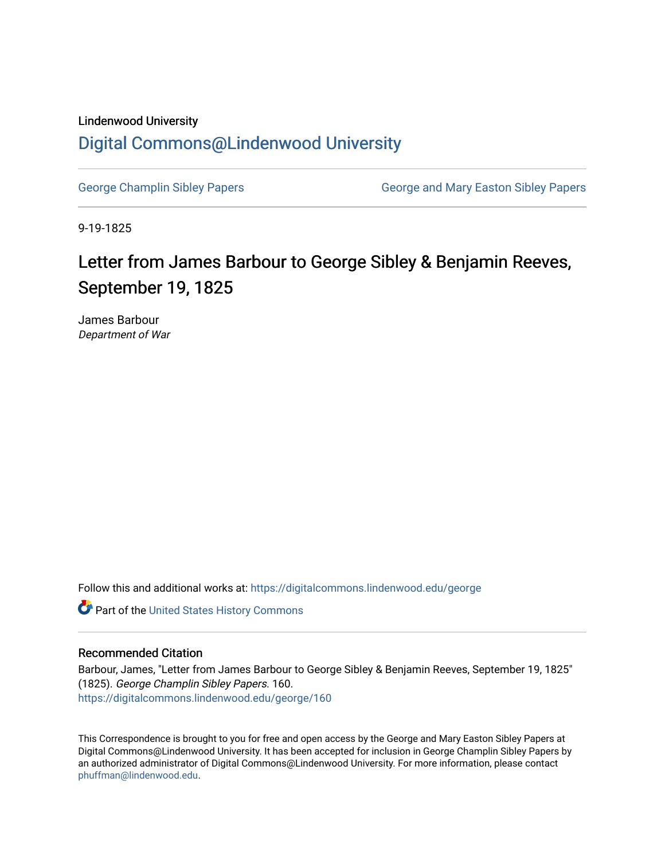## Lindenwood University [Digital Commons@Lindenwood University](https://digitalcommons.lindenwood.edu/)

[George Champlin Sibley Papers](https://digitalcommons.lindenwood.edu/george) George and Mary Easton Sibley Papers

9-19-1825

## Letter from James Barbour to George Sibley & Benjamin Reeves, September 19, 1825

James Barbour Department of War

Follow this and additional works at: [https://digitalcommons.lindenwood.edu/george](https://digitalcommons.lindenwood.edu/george?utm_source=digitalcommons.lindenwood.edu%2Fgeorge%2F160&utm_medium=PDF&utm_campaign=PDFCoverPages)

Part of the [United States History Commons](http://network.bepress.com/hgg/discipline/495?utm_source=digitalcommons.lindenwood.edu%2Fgeorge%2F160&utm_medium=PDF&utm_campaign=PDFCoverPages) 

## Recommended Citation

Barbour, James, "Letter from James Barbour to George Sibley & Benjamin Reeves, September 19, 1825" (1825). George Champlin Sibley Papers. 160. [https://digitalcommons.lindenwood.edu/george/160](https://digitalcommons.lindenwood.edu/george/160?utm_source=digitalcommons.lindenwood.edu%2Fgeorge%2F160&utm_medium=PDF&utm_campaign=PDFCoverPages)

This Correspondence is brought to you for free and open access by the George and Mary Easton Sibley Papers at Digital Commons@Lindenwood University. It has been accepted for inclusion in George Champlin Sibley Papers by an authorized administrator of Digital Commons@Lindenwood University. For more information, please contact [phuffman@lindenwood.edu](mailto:phuffman@lindenwood.edu).